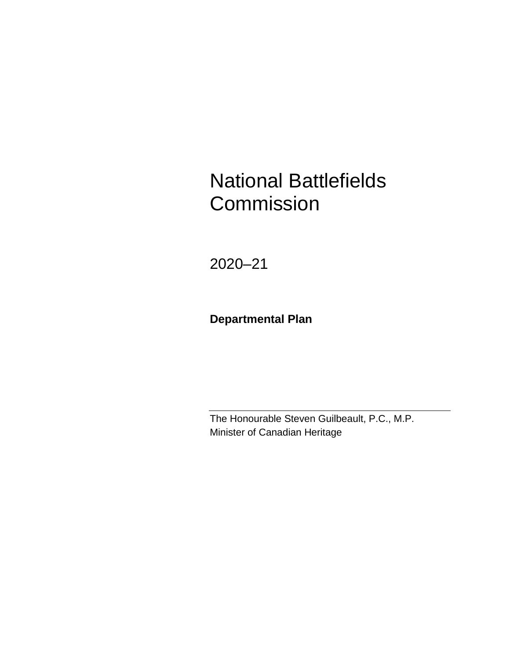# National Battlefields **Commission**

2020–21

**Departmental Plan**

The Honourable Steven Guilbeault, P.C., M.P. Minister of Canadian Heritage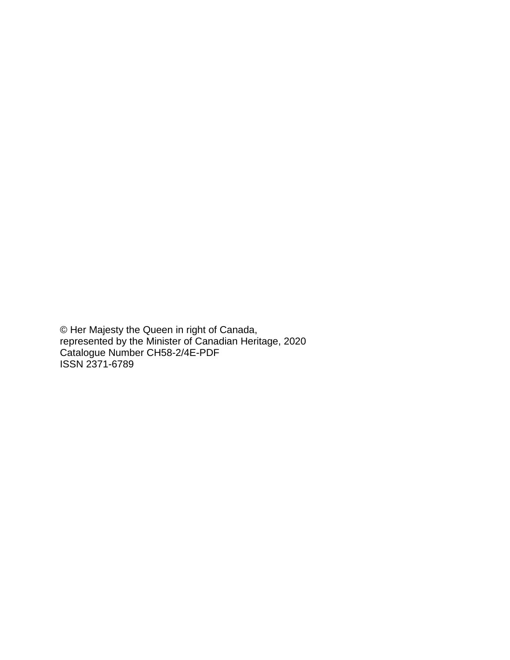© Her Majesty the Queen in right of Canada, represented by the Minister of Canadian Heritage, 2020 Catalogue Number CH58-2/4E-PDF ISSN 2371-6789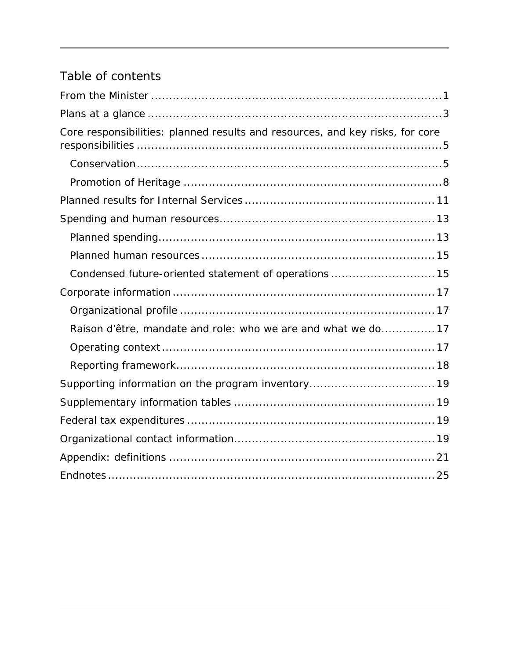# Table of contents

| Core responsibilities: planned results and resources, and key risks, for core |
|-------------------------------------------------------------------------------|
|                                                                               |
|                                                                               |
|                                                                               |
|                                                                               |
|                                                                               |
|                                                                               |
| Condensed future-oriented statement of operations  15                         |
|                                                                               |
|                                                                               |
| Raison d'être, mandate and role: who we are and what we do17                  |
|                                                                               |
|                                                                               |
|                                                                               |
|                                                                               |
|                                                                               |
|                                                                               |
|                                                                               |
|                                                                               |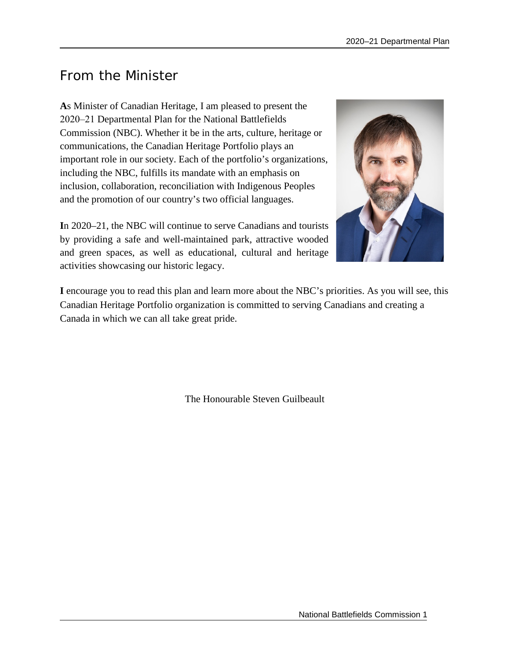# <span id="page-4-0"></span>From the Minister

**A**s Minister of Canadian Heritage, I am pleased to present the 2020‒21 Departmental Plan for the National Battlefields Commission (NBC). Whether it be in the arts, culture, heritage or communications, the Canadian Heritage Portfolio plays an important role in our society. Each of the portfolio's organizations, including the NBC, fulfills its mandate with an emphasis on inclusion, collaboration, reconciliation with Indigenous Peoples and the promotion of our country's two official languages.

**I**n 2020–21, the NBC will continue to serve Canadians and tourists by providing a safe and well-maintained park, attractive wooded and green spaces, as well as educational, cultural and heritage activities showcasing our historic legacy.



**I** encourage you to read this plan and learn more about the NBC's priorities. As you will see, this Canadian Heritage Portfolio organization is committed to serving Canadians and creating a Canada in which we can all take great pride.

The Honourable Steven Guilbeault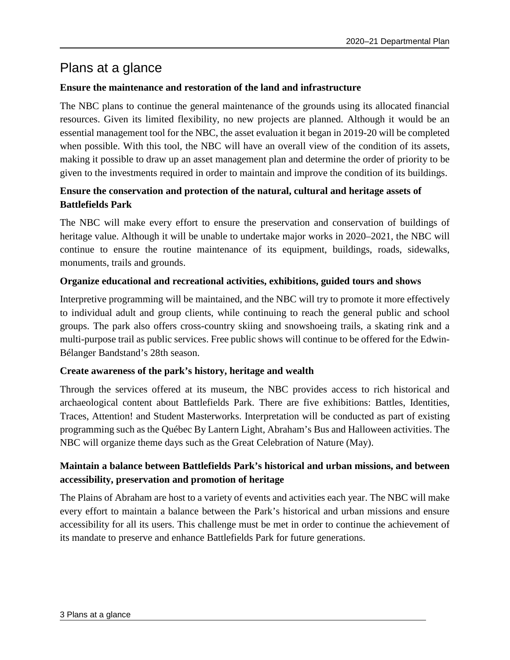# <span id="page-6-0"></span>Plans at a glance

### **Ensure the maintenance and restoration of the land and infrastructure**

The NBC plans to continue the general maintenance of the grounds using its allocated financial resources. Given its limited flexibility, no new projects are planned. Although it would be an essential management tool for the NBC, the asset evaluation it began in 2019-20 will be completed when possible. With this tool, the NBC will have an overall view of the condition of its assets, making it possible to draw up an asset management plan and determine the order of priority to be given to the investments required in order to maintain and improve the condition of its buildings.

# **Ensure the conservation and protection of the natural, cultural and heritage assets of Battlefields Park**

The NBC will make every effort to ensure the preservation and conservation of buildings of heritage value. Although it will be unable to undertake major works in 2020–2021, the NBC will continue to ensure the routine maintenance of its equipment, buildings, roads, sidewalks, monuments, trails and grounds.

### **Organize educational and recreational activities, exhibitions, guided tours and shows**

Interpretive programming will be maintained, and the NBC will try to promote it more effectively to individual adult and group clients, while continuing to reach the general public and school groups. The park also offers cross-country skiing and snowshoeing trails, a skating rink and a multi-purpose trail as public services. Free public shows will continue to be offered for the Edwin-Bélanger Bandstand's 28th season.

### **Create awareness of the park's history, heritage and wealth**

Through the services offered at its museum, the NBC provides access to rich historical and archaeological content about Battlefields Park. There are five exhibitions: Battles, Identities, Traces, Attention! and Student Masterworks. Interpretation will be conducted as part of existing programming such as the Québec By Lantern Light, Abraham's Bus and Halloween activities. The NBC will organize theme days such as the Great Celebration of Nature (May).

# **Maintain a balance between Battlefields Park's historical and urban missions, and between accessibility, preservation and promotion of heritage**

The Plains of Abraham are host to a variety of events and activities each year. The NBC will make every effort to maintain a balance between the Park's historical and urban missions and ensure accessibility for all its users. This challenge must be met in order to continue the achievement of its mandate to preserve and enhance Battlefields Park for future generations.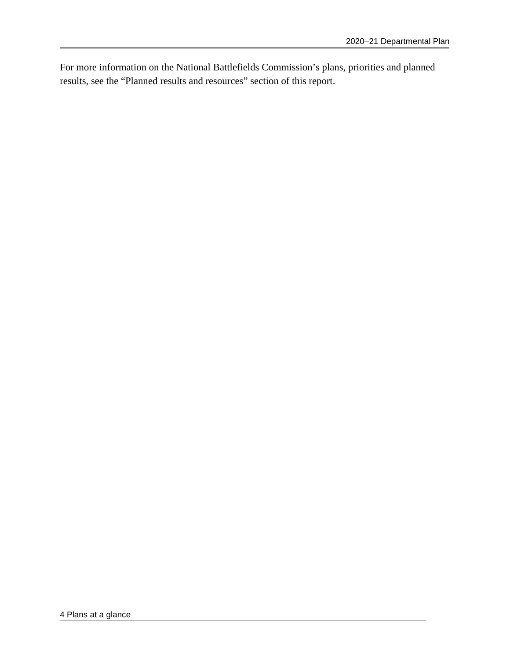For more information on the National Battlefields Commission's plans, priorities and planned results, see the "Planned results and resources" section of this report.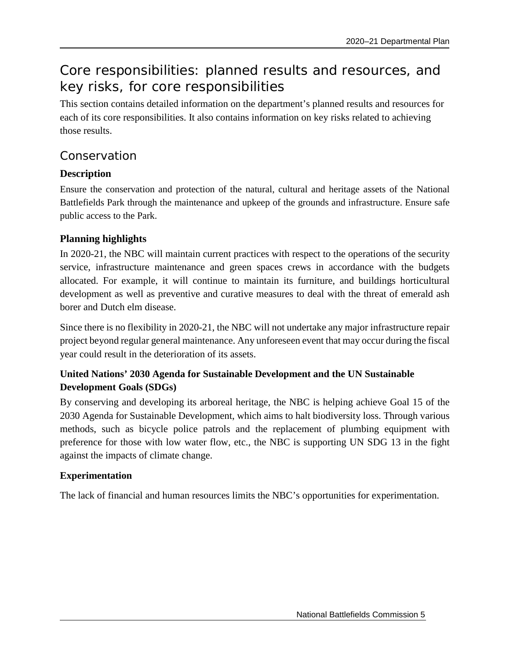# <span id="page-8-0"></span>Core responsibilities: planned results and resources, and key risks, for core responsibilities

This section contains detailed information on the department's planned results and resources for each of its core responsibilities. It also contains information on key risks related to achieving those results.

# <span id="page-8-1"></span>Conservation

# **Description**

Ensure the conservation and protection of the natural, cultural and heritage assets of the National Battlefields Park through the maintenance and upkeep of the grounds and infrastructure. Ensure safe public access to the Park.

# **Planning highlights**

In 2020-21, the NBC will maintain current practices with respect to the operations of the security service, infrastructure maintenance and green spaces crews in accordance with the budgets allocated. For example, it will continue to maintain its furniture, and buildings horticultural development as well as preventive and curative measures to deal with the threat of emerald ash borer and Dutch elm disease.

Since there is no flexibility in 2020-21, the NBC will not undertake any major infrastructure repair project beyond regular general maintenance. Any unforeseen event that may occur during the fiscal year could result in the deterioration of its assets.

# **United Nations' 2030 Agenda for Sustainable Development and the UN Sustainable Development Goals (SDGs)**

By conserving and developing its arboreal heritage, the NBC is helping achieve Goal 15 of the 2030 Agenda for Sustainable Development, which aims to halt biodiversity loss. Through various methods, such as bicycle police patrols and the replacement of plumbing equipment with preference for those with low water flow, etc., the NBC is supporting UN SDG 13 in the fight against the impacts of climate change.

# **Experimentation**

The lack of financial and human resources limits the NBC's opportunities for experimentation.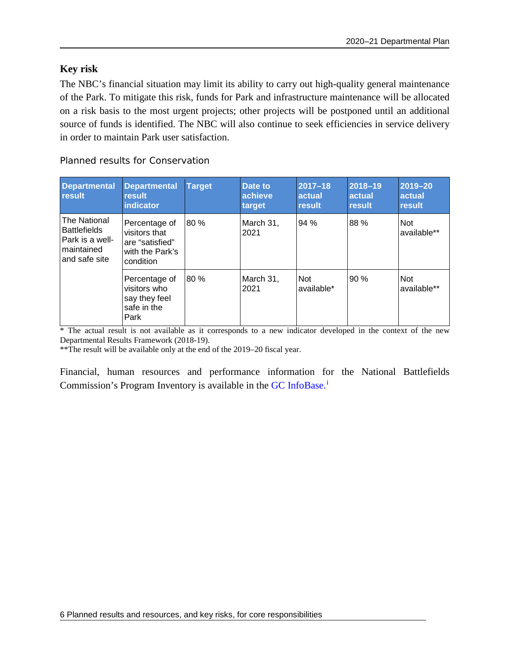### **Key risk**

The NBC's financial situation may limit its ability to carry out high-quality general maintenance of the Park. To mitigate this risk, funds for Park and infrastructure maintenance will be allocated on a risk basis to the most urgent projects; other projects will be postponed until an additional source of funds is identified. The NBC will also continue to seek efficiencies in service delivery in order to maintain Park user satisfaction.

Planned results for Conservation

| <b>Departmental</b><br>result                                                         | Departmental<br>result<br>indicator                                               | <b>Target</b> | <b>Date to</b><br>achieve<br>target | $2017 - 18$<br>actual<br>result | $2018 - 19$<br>actual<br>result | 2019-20<br>actual<br>result |
|---------------------------------------------------------------------------------------|-----------------------------------------------------------------------------------|---------------|-------------------------------------|---------------------------------|---------------------------------|-----------------------------|
| The National<br><b>Battlefields</b><br>Park is a well-<br>maintained<br>and safe site | Percentage of<br>visitors that<br>are "satisfied"<br>with the Park's<br>condition | 80 %          | March 31,<br>2021                   | 94%                             | 88 %                            | Not<br>available**          |
|                                                                                       | Percentage of<br>visitors who<br>say they feel<br>safe in the<br>Park             | 80%           | March 31,<br>2021                   | <b>Not</b><br>available*        | 90%                             | Not<br>available**          |

\* The actual result is not available as it corresponds to a new indicator developed in the context of the new Departmental Results Framework (2018-19).

\*\*The result will be available only at the end of the 2019–20 fiscal year.

Financial, human resources and performance information for the National Battlefields Commission's Program Inventory is available in the [GC InfoBase.](https://www.tbs-sct.gc.ca/ems-sgd/edb-bdd/index-eng.html)<sup>[i](#page-28-1)</sup>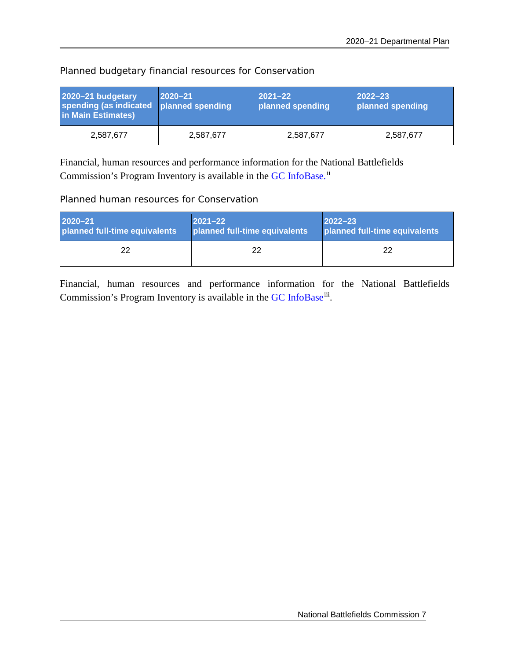| 2020-21 budgetary<br>spending (as indicated<br>in Main Estimates) | $ 2020 - 21 $<br>planned spending | $ 2021 - 22 $<br>planned spending | $2022 - 23$<br>planned spending |
|-------------------------------------------------------------------|-----------------------------------|-----------------------------------|---------------------------------|
| 2,587,677                                                         | 2,587,677                         | 2,587,677                         | 2,587,677                       |

Planned budgetary financial resources for Conservation

Financial, human resources and performance information for the National Battlefields Commission's Program Inventory is available in the [GC InfoBase.](https://www.tbs-sct.gc.ca/ems-sgd/edb-bdd/index-eng.html)<sup>[ii](#page-28-2)</sup>

Planned human resources for Conservation

| $2020 - 21$                   | $ 2021 - 22 $                 | $ 2022 - 23 $                 |
|-------------------------------|-------------------------------|-------------------------------|
| planned full-time equivalents | planned full-time equivalents | planned full-time equivalents |
| 22                            | つつ                            | 22                            |

Financial, human resources and performance information for the National Battlefields Commission's Program Inventory is available in the [GC InfoBase](https://www.tbs-sct.gc.ca/ems-sgd/edb-bdd/index-eng.html)<sup>[iii](#page-28-3)</sup>.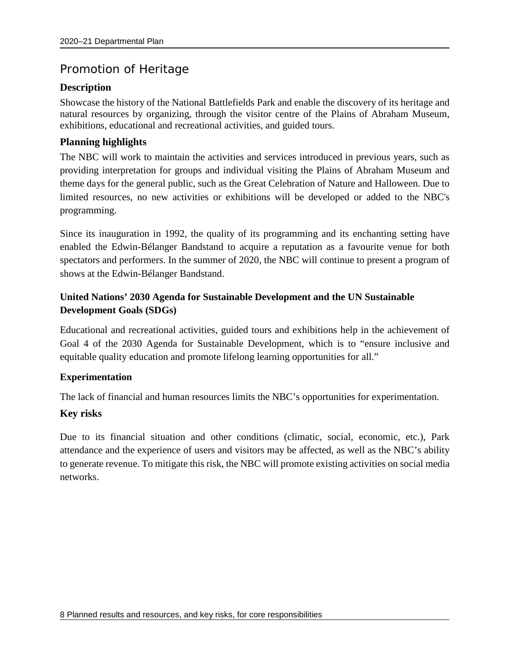# <span id="page-11-0"></span>Promotion of Heritage

### **Description**

Showcase the history of the National Battlefields Park and enable the discovery of its heritage and natural resources by organizing, through the visitor centre of the Plains of Abraham Museum, exhibitions, educational and recreational activities, and guided tours.

### **Planning highlights**

The NBC will work to maintain the activities and services introduced in previous years, such as providing interpretation for groups and individual visiting the Plains of Abraham Museum and theme days for the general public, such as the Great Celebration of Nature and Halloween. Due to limited resources, no new activities or exhibitions will be developed or added to the NBC's programming.

Since its inauguration in 1992, the quality of its programming and its enchanting setting have enabled the Edwin-Bélanger Bandstand to acquire a reputation as a favourite venue for both spectators and performers. In the summer of 2020, the NBC will continue to present a program of shows at the Edwin-Bélanger Bandstand.

# **United Nations' 2030 Agenda for Sustainable Development and the UN Sustainable Development Goals (SDGs)**

Educational and recreational activities, guided tours and exhibitions help in the achievement of Goal 4 of the 2030 Agenda for Sustainable Development, which is to "ensure inclusive and equitable quality education and promote lifelong learning opportunities for all."

### **Experimentation**

The lack of financial and human resources limits the NBC's opportunities for experimentation.

### **Key risks**

Due to its financial situation and other conditions (climatic, social, economic, etc.), Park attendance and the experience of users and visitors may be affected, as well as the NBC's ability to generate revenue. To mitigate this risk, the NBC will promote existing activities on social media networks.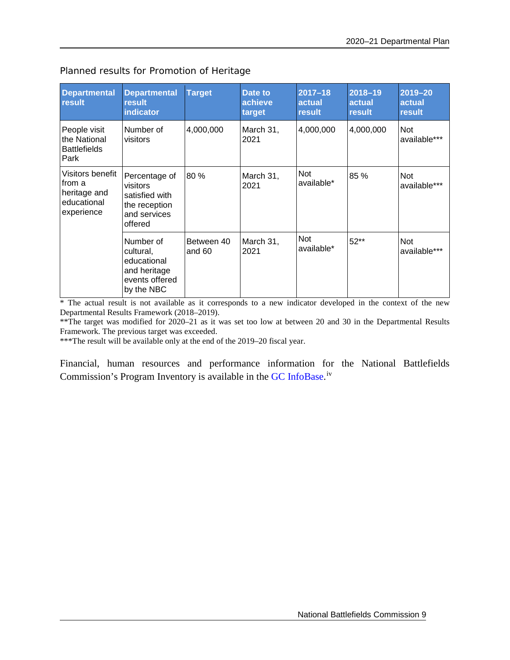| <b>Departmental</b><br>result                                           | <b>Departmental</b><br>result<br>indicator                                              | <b>Target</b>        | Date to<br>achieve<br>target | $2017 - 18$<br>actual<br>result | 2018-19<br>actual<br>result | $2019 - 20$<br>actual<br>result |
|-------------------------------------------------------------------------|-----------------------------------------------------------------------------------------|----------------------|------------------------------|---------------------------------|-----------------------------|---------------------------------|
| People visit<br>the National<br><b>Battlefields</b><br>Park             | Number of<br>visitors                                                                   | 4,000,000            | March 31,<br>2021            | 4,000,000                       | 4,000,000                   | <b>Not</b><br>available***      |
| Visitors benefit<br>from a<br>heritage and<br>educational<br>experience | Percentage of<br>visitors<br>satisfied with<br>the reception<br>and services<br>offered | 80 %                 | March 31,<br>2021            | <b>Not</b><br>available*        | 85 %                        | <b>Not</b><br>available***      |
|                                                                         | Number of<br>cultural,<br>educational<br>and heritage<br>events offered<br>by the NBC   | Between 40<br>and 60 | March 31,<br>2021            | Not<br>available*               | $52**$                      | <b>Not</b><br>available***      |

Planned results for Promotion of Heritage

\* The actual result is not available as it corresponds to a new indicator developed in the context of the new Departmental Results Framework (2018–2019).

\*\*The target was modified for 2020–21 as it was set too low at between 20 and 30 in the Departmental Results Framework. The previous target was exceeded.

\*\*\*The result will be available only at the end of the 2019–20 fiscal year.

Financial, human resources and performance information for the National Battlefields Commission's Program Inventory is available in the [GC InfoBase.](https://www.tbs-sct.gc.ca/ems-sgd/edb-bdd/index-eng.html)<sup>[iv](#page-28-4)</sup>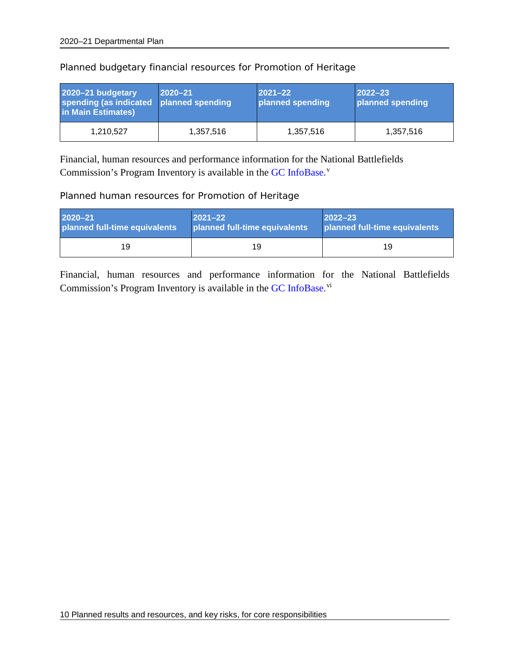| 2020-21 budgetary<br>spending (as indicated<br>in Main Estimates) | $ 2020 - 21 $<br>planned spending | $ 2021 - 22 $<br>planned spending | $ 2022 - 23 $<br>planned spending |
|-------------------------------------------------------------------|-----------------------------------|-----------------------------------|-----------------------------------|
| 1,210,527                                                         | 1,357,516                         | 1,357,516                         | 1,357,516                         |

Planned budgetary financial resources for Promotion of Heritage

Financial, human resources and performance information for the National Battlefields Commission's Program Inventory is available in the [GC InfoBase.](https://www.tbs-sct.gc.ca/ems-sgd/edb-bdd/index-eng.html)<sup>[v](#page-28-5)</sup>

#### Planned human resources for Promotion of Heritage

| $2020 - 21$                   | $ 2021 - 22 $                 | $2022 - 23$                   |
|-------------------------------|-------------------------------|-------------------------------|
| planned full-time equivalents | planned full-time equivalents | planned full-time equivalents |
| 19                            | 19                            | 19                            |

Financial, human resources and performance information for the National Battlefields Commission's Program Inventory is available in the [GC InfoBase.](https://www.tbs-sct.gc.ca/ems-sgd/edb-bdd/index-eng.html)<sup>[vi](#page-28-6)</sup>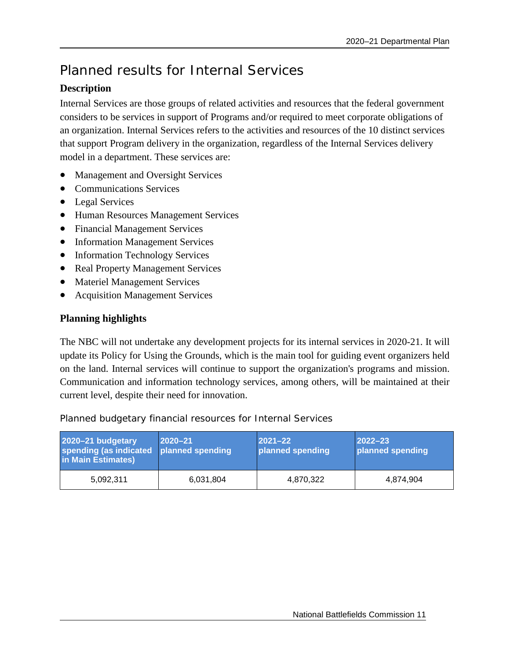# <span id="page-14-0"></span>Planned results for Internal Services

# **Description**

Internal Services are those groups of related activities and resources that the federal government considers to be services in support of Programs and/or required to meet corporate obligations of an organization. Internal Services refers to the activities and resources of the 10 distinct services that support Program delivery in the organization, regardless of the Internal Services delivery model in a department. These services are:

- Management and Oversight Services
- Communications Services
- Legal Services
- Human Resources Management Services
- Financial Management Services
- Information Management Services
- Information Technology Services
- Real Property Management Services
- Materiel Management Services
- Acquisition Management Services

# **Planning highlights**

The NBC will not undertake any development projects for its internal services in 2020-21. It will update its Policy for Using the Grounds, which is the main tool for guiding event organizers held on the land. Internal services will continue to support the organization's programs and mission. Communication and information technology services, among others, will be maintained at their current level, despite their need for innovation.

Planned budgetary financial resources for Internal Services

| 2020-21 budgetary<br>spending (as indicated<br>in Main Estimates) | $ 2020 - 21 $<br>planned spending | $ 2021 - 22 $<br>planned spending | $ 2022 - 23 $<br>planned spending |
|-------------------------------------------------------------------|-----------------------------------|-----------------------------------|-----------------------------------|
| 5,092,311                                                         | 6,031,804                         | 4,870,322                         | 4.874.904                         |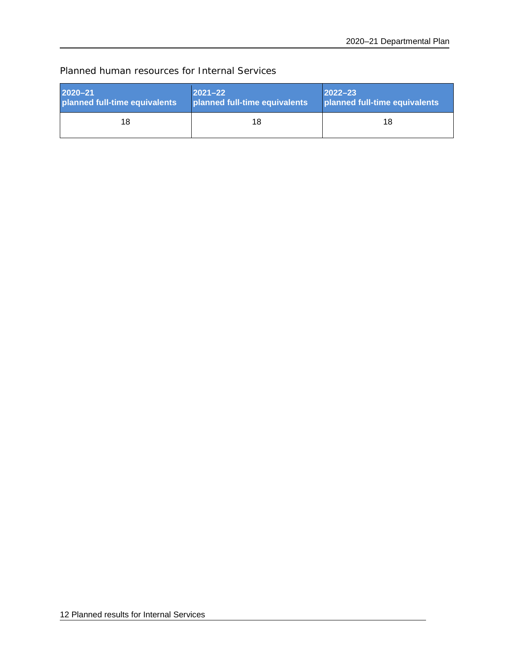# Planned human resources for Internal Services

| <b>2020–21</b>                | $ 2021 - 22 $                 | $2022 - 23$                   |
|-------------------------------|-------------------------------|-------------------------------|
| planned full-time equivalents | planned full-time equivalents | planned full-time equivalents |
| 18                            | 18                            | 18                            |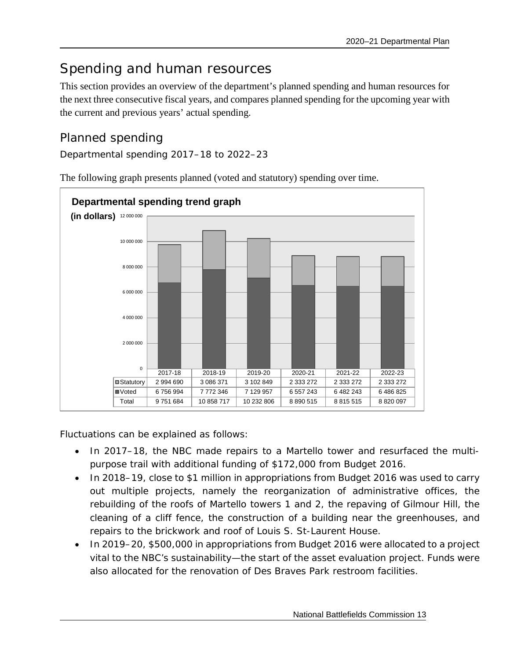# <span id="page-16-0"></span>Spending and human resources

This section provides an overview of the department's planned spending and human resources for the next three consecutive fiscal years, and compares planned spending for the upcoming year with the current and previous years' actual spending.

# <span id="page-16-1"></span>Planned spending

Departmental spending 2017–18 to 2022–23



The following graph presents planned (voted and statutory) spending over time.

Fluctuations can be explained as follows:

- In 2017–18, the NBC made repairs to a Martello tower and resurfaced the multipurpose trail with additional funding of \$172,000 from Budget 2016.
- In 2018–19, close to \$1 million in appropriations from Budget 2016 was used to carry out multiple projects, namely the reorganization of administrative offices, the rebuilding of the roofs of Martello towers 1 and 2, the repaving of Gilmour Hill, the cleaning of a cliff fence, the construction of a building near the greenhouses, and repairs to the brickwork and roof of Louis S. St-Laurent House.
- In 2019–20, \$500,000 in appropriations from Budget 2016 were allocated to a project vital to the NBC's sustainability—the start of the asset evaluation project. Funds were also allocated for the renovation of Des Braves Park restroom facilities.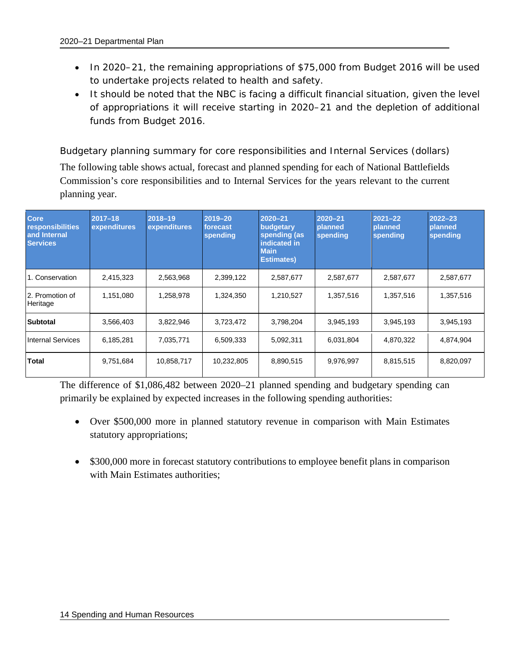- In 2020–21, the remaining appropriations of \$75,000 from Budget 2016 will be used to undertake projects related to health and safety.
- It should be noted that the NBC is facing a difficult financial situation, given the level of appropriations it will receive starting in 2020–21 and the depletion of additional funds from Budget 2016.

Budgetary planning summary for core responsibilities and Internal Services (dollars) The following table shows actual, forecast and planned spending for each of National Battlefields Commission's core responsibilities and to Internal Services for the years relevant to the current planning year.

| <b>Core</b><br>responsibilities<br>and Internal<br><b>Services</b> | $2017 - 18$<br>expenditures | 2018-19<br>expenditures | 2019-20<br>forecast<br>spending | 2020-21<br>budgetary<br>spending (as<br>indicated in<br><b>Main</b><br><b>Estimates)</b> | $2020 - 21$<br>planned<br>spending | $2021 - 22$<br>planned<br>spending | $2022 - 23$<br>planned<br>spending |
|--------------------------------------------------------------------|-----------------------------|-------------------------|---------------------------------|------------------------------------------------------------------------------------------|------------------------------------|------------------------------------|------------------------------------|
| 1. Conservation                                                    | 2,415,323                   | 2,563,968               | 2,399,122                       | 2,587,677                                                                                | 2,587,677                          | 2,587,677                          | 2,587,677                          |
| 2. Promotion of<br>Heritage                                        | 1,151,080                   | 1,258,978               | 1,324,350                       | 1,210,527                                                                                | 1,357,516                          | 1,357,516                          | 1,357,516                          |
| <b>Subtotal</b>                                                    | 3,566,403                   | 3,822,946               | 3,723,472                       | 3,798,204                                                                                | 3,945,193                          | 3,945,193                          | 3,945,193                          |
| <b>Internal Services</b>                                           | 6,185,281                   | 7,035,771               | 6,509,333                       | 5,092,311                                                                                | 6,031,804                          | 4,870,322                          | 4,874,904                          |
| Total                                                              | 9,751,684                   | 10,858,717              | 10,232,805                      | 8,890,515                                                                                | 9,976,997                          | 8,815,515                          | 8,820,097                          |

The difference of \$1,086,482 between 2020–21 planned spending and budgetary spending can primarily be explained by expected increases in the following spending authorities:

- Over \$500,000 more in planned statutory revenue in comparison with Main Estimates statutory appropriations;
- \$300,000 more in forecast statutory contributions to employee benefit plans in comparison with Main Estimates authorities;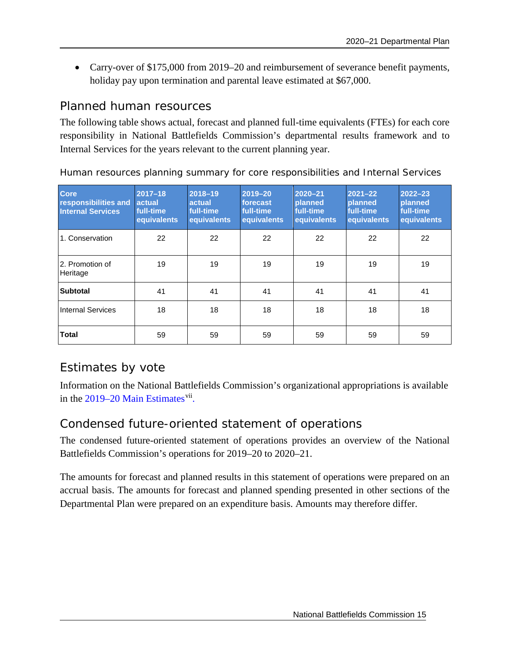• Carry-over of \$175,000 from 2019–20 and reimbursement of severance benefit payments, holiday pay upon termination and parental leave estimated at \$67,000.

# <span id="page-18-0"></span>Planned human resources

The following table shows actual, forecast and planned full-time equivalents (FTEs) for each core responsibility in National Battlefields Commission's departmental results framework and to Internal Services for the years relevant to the current planning year.

| <b>Core</b><br>responsibilities and<br><b>Internal Services</b> | $2017 - 18$<br><b>actual</b><br>full-time<br>equivalents | 2018-19<br>actual<br>full-time<br>equivalents | 2019-20<br>forecast<br>full-time<br>equivalents | 2020-21<br>planned<br>full-time<br>equivalents | $2021 - 22$<br>planned<br>full-time<br>equivalents | $2022 - 23$<br>planned<br>full-time<br>equivalents |
|-----------------------------------------------------------------|----------------------------------------------------------|-----------------------------------------------|-------------------------------------------------|------------------------------------------------|----------------------------------------------------|----------------------------------------------------|
| 1. Conservation                                                 | 22                                                       | 22                                            | 22                                              | 22                                             | 22                                                 | 22                                                 |
| l 2. Promotion of<br>Heritage                                   | 19                                                       | 19                                            | 19                                              | 19                                             | 19                                                 | 19                                                 |
| <b>Subtotal</b>                                                 | 41                                                       | 41                                            | 41                                              | 41                                             | 41                                                 | 41                                                 |
| <b>Internal Services</b>                                        | 18                                                       | 18                                            | 18                                              | 18                                             | 18                                                 | 18                                                 |
| <b>Total</b>                                                    | 59                                                       | 59                                            | 59                                              | 59                                             | 59                                                 | 59                                                 |

Human resources planning summary for core responsibilities and Internal Services

# Estimates by vote

Information on the National Battlefields Commission's organizational appropriations is available in the  $2019-20$  Main Estimates<sup>[vii](#page-28-7)</sup>.

# <span id="page-18-1"></span>Condensed future-oriented statement of operations

The condensed future-oriented statement of operations provides an overview of the National Battlefields Commission's operations for 2019–20 to 2020–21.

The amounts for forecast and planned results in this statement of operations were prepared on an accrual basis. The amounts for forecast and planned spending presented in other sections of the Departmental Plan were prepared on an expenditure basis. Amounts may therefore differ.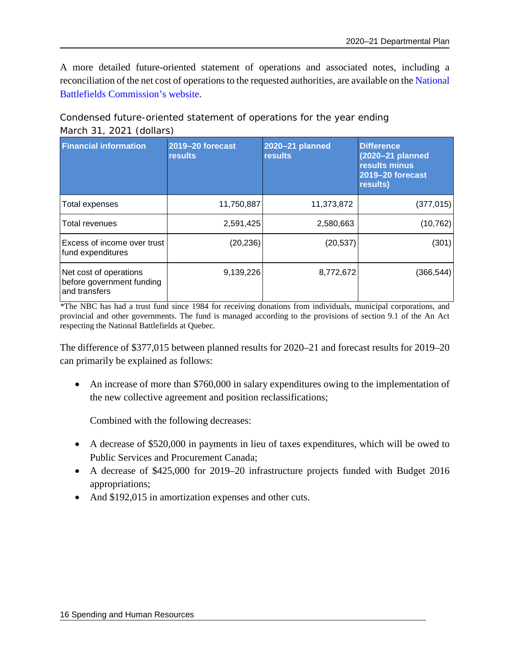A more detailed future-oriented statement of operations and associated notes, including a reconciliation of the net cost of operations to the requested authorities, are available on the [National](http://www.ccbn-nbc.gc.ca/en/)  [Battlefields Commission's](http://www.ccbn-nbc.gc.ca/en/) website.

Condensed future-oriented statement of operations for the year ending March 31, 2021 (dollars)

| <b>Financial information</b>                                          | 2019-20 forecast<br><b>results</b> | 2020-21 planned<br><b>results</b> | <b>Difference</b><br>$(2020-21)$ planned<br>results minus<br>2019-20 forecast<br>results) |
|-----------------------------------------------------------------------|------------------------------------|-----------------------------------|-------------------------------------------------------------------------------------------|
| Total expenses                                                        | 11,750,887                         | 11,373,872                        | (377, 015)                                                                                |
| <b>Total revenues</b>                                                 | 2,591,425                          | 2,580,663                         | (10, 762)                                                                                 |
| Excess of income over trust<br>fund expenditures                      | (20, 236)                          | (20, 537)                         | (301)                                                                                     |
| Net cost of operations<br>before government funding<br>land transfers | 9,139,226                          | 8,772,672                         | (366, 544)                                                                                |

*\**The NBC has had a trust fund since 1984 for receiving donations from individuals, municipal corporations, and provincial and other governments. The fund is managed according to the provisions of section 9.1 of the An Act respecting the National Battlefields at Quebec*.*

The difference of \$377,015 between planned results for 2020–21 and forecast results for 2019–20 can primarily be explained as follows:

• An increase of more than \$760,000 in salary expenditures owing to the implementation of the new collective agreement and position reclassifications;

Combined with the following decreases:

- A decrease of \$520,000 in payments in lieu of taxes expenditures, which will be owed to Public Services and Procurement Canada;
- A decrease of \$425,000 for 2019–20 infrastructure projects funded with Budget 2016 appropriations;
- And \$192,015 in amortization expenses and other cuts.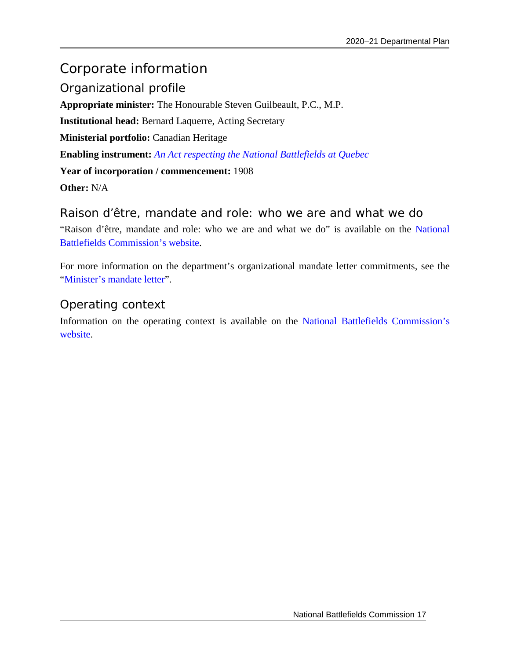# <span id="page-20-0"></span>Corporate information

<span id="page-20-1"></span>Organizational profile **Appropriate minister:** The Honourable Steven Guilbeault, P.C., M.P. **Institutional head:** Bernard Laquerre, Acting Secretary **Ministerial portfolio:** Canadian Heritage **Enabling instrument:** *[An Act respecting the National Battlefields at Quebec](https://laws-lois.justice.gc.ca/eng/acts/N-3.4/)* **Year of incorporation / commencement:** 1908 **Other:** N/A

<span id="page-20-2"></span>Raison d'être, mandate and role: who we are and what we do "Raison d'être, mandate and role: who we are and what we do" is available on the [National](http://www.ccbn-nbc.gc.ca/en/)  [Battlefields Commission's](http://www.ccbn-nbc.gc.ca/en/) website.

For more information on the department's organizational mandate letter commitments, see the ["Minister's mandate letter"](https://pm.gc.ca/en/mandate-letters).

# <span id="page-20-3"></span>Operating context

Information on the operating context is available on the [National Battlefields Commission's](http://www.ccbn-nbc.gc.ca/en/) [website.](http://www.ccbn-nbc.gc.ca/en/)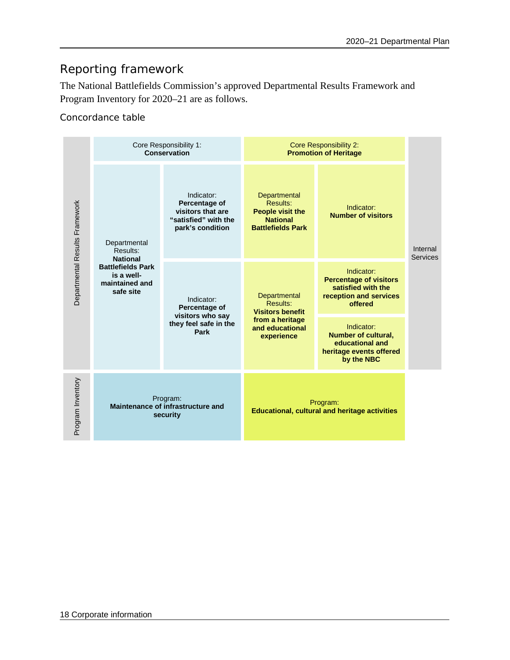# <span id="page-21-0"></span>Reporting framework

The National Battlefields Commission's approved Departmental Results Framework and Program Inventory for 2020–21 are as follows.

Concordance table

| Departmental Results Framework | Core Responsibility 1:<br>Conservation                                                                               |                                                                                              | <b>Core Responsibility 2:</b><br><b>Promotion of Heritage</b>                                           |                                                                                                        |                             |
|--------------------------------|----------------------------------------------------------------------------------------------------------------------|----------------------------------------------------------------------------------------------|---------------------------------------------------------------------------------------------------------|--------------------------------------------------------------------------------------------------------|-----------------------------|
|                                | Departmental<br>Results:<br><b>National</b><br><b>Battlefields Park</b><br>is a well-<br>maintained and<br>safe site | Indicator:<br>Percentage of<br>visitors that are<br>"satisfied" with the<br>park's condition | Departmental<br>Results:<br><b>People visit the</b><br><b>National</b><br><b>Battlefields Park</b>      | Indicator:<br><b>Number of visitors</b>                                                                | Internal<br><b>Services</b> |
|                                |                                                                                                                      | Indicator:<br>Percentage of<br>visitors who say<br>they feel safe in the<br>Park             | Departmental<br>Results:<br><b>Visitors benefit</b><br>from a heritage<br>and educational<br>experience | Indicator:<br><b>Percentage of visitors</b><br>satisfied with the<br>reception and services<br>offered |                             |
|                                |                                                                                                                      |                                                                                              |                                                                                                         | Indicator:<br><b>Number of cultural,</b><br>educational and<br>heritage events offered<br>by the NBC   |                             |
| Program Inventory              | Program:<br>Maintenance of infrastructure and<br>security                                                            |                                                                                              | Program:<br><b>Educational, cultural and heritage activities</b>                                        |                                                                                                        |                             |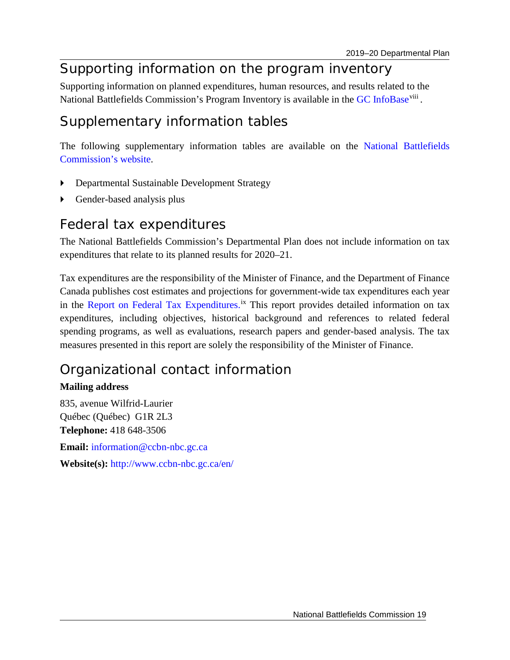# <span id="page-22-0"></span>Supporting information on the program inventory

<span id="page-22-1"></span>Supporting information on planned expenditures, human resources, and results related to the National Battlefields Commission's Program Inventory is available in the [GC InfoBase](https://www.tbs-sct.gc.ca/ems-sgd/edb-bdd/index-eng.html)<sup>[viii](#page-28-8)</sup>.

# Supplementary information tables

The following supplementary information tables are available on the [National Battlefields](http://www.ccbn-nbc.gc.ca/en/)  [Commission's](http://www.ccbn-nbc.gc.ca/en/) website.

- Departmental Sustainable Development Strategy
- Gender-based analysis plus

# <span id="page-22-2"></span>Federal tax expenditures

The National Battlefields Commission's Departmental Plan does not include information on tax expenditures that relate to its planned results for 2020–21.

Tax expenditures are the responsibility of the Minister of Finance, and the Department of Finance Canada publishes cost estimates and projections for government-wide tax expenditures each year in the [Report on Federal Tax Expenditures.](http://www.fin.gc.ca/purl/taxexp-eng.asp)<sup>[ix](#page-28-9)</sup> This report provides detailed information on tax expenditures, including objectives, historical background and references to related federal spending programs, as well as evaluations, research papers and gender-based analysis. The tax measures presented in this report are solely the responsibility of the Minister of Finance.

# <span id="page-22-3"></span>Organizational contact information

# **Mailing address**

835, avenue Wilfrid-Laurier Québec (Québec) G1R 2L3 **Telephone:** 418 648-3506 **Email:** [information@ccbn-nbc.gc.ca](mailto:information@ccbn-nbc.gc.ca) **Website(s):** <http://www.ccbn-nbc.gc.ca/en/>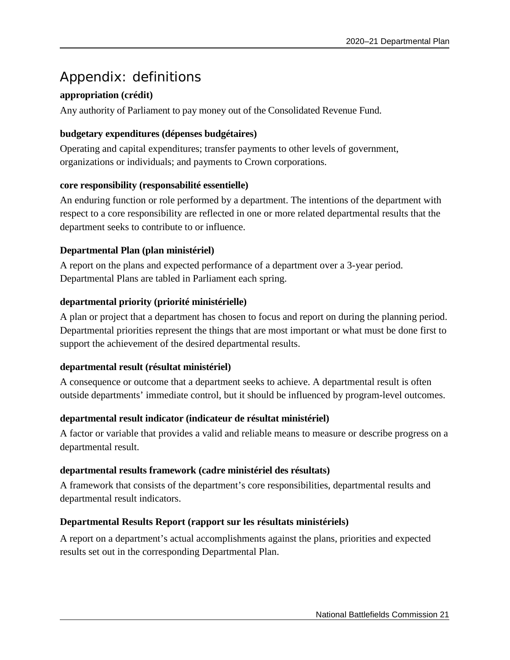# <span id="page-24-0"></span>Appendix: definitions

# **appropriation (crédit)**

Any authority of Parliament to pay money out of the Consolidated Revenue Fund.

### **budgetary expenditures (dépenses budgétaires)**

Operating and capital expenditures; transfer payments to other levels of government, organizations or individuals; and payments to Crown corporations.

### **core responsibility (responsabilité essentielle)**

An enduring function or role performed by a department. The intentions of the department with respect to a core responsibility are reflected in one or more related departmental results that the department seeks to contribute to or influence.

# **Departmental Plan (plan ministériel)**

A report on the plans and expected performance of a department over a 3-year period. Departmental Plans are tabled in Parliament each spring.

### **departmental priority (priorité ministérielle)**

A plan or project that a department has chosen to focus and report on during the planning period. Departmental priorities represent the things that are most important or what must be done first to support the achievement of the desired departmental results.

### **departmental result (résultat ministériel)**

A consequence or outcome that a department seeks to achieve. A departmental result is often outside departments' immediate control, but it should be influenced by program-level outcomes.

# **departmental result indicator (indicateur de résultat ministériel)**

A factor or variable that provides a valid and reliable means to measure or describe progress on a departmental result.

### **departmental results framework (cadre ministériel des résultats)**

A framework that consists of the department's core responsibilities, departmental results and departmental result indicators.

### **Departmental Results Report (rapport sur les résultats ministériels)**

A report on a department's actual accomplishments against the plans, priorities and expected results set out in the corresponding Departmental Plan.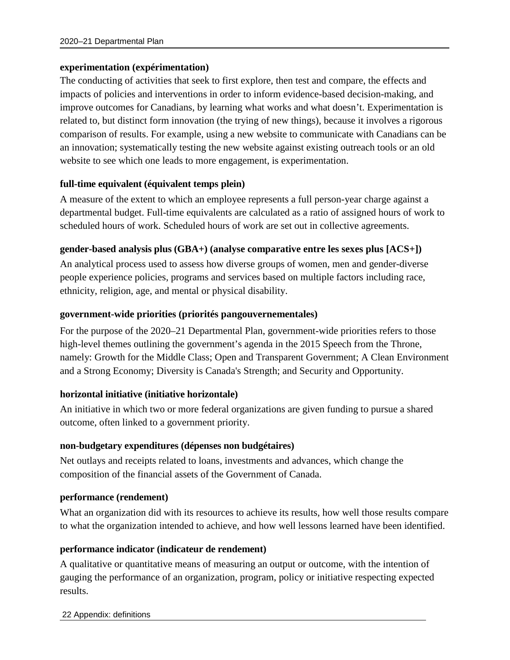#### **experimentation (expérimentation)**

The conducting of activities that seek to first explore, then test and compare, the effects and impacts of policies and interventions in order to inform evidence-based decision-making, and improve outcomes for Canadians, by learning what works and what doesn't. Experimentation is related to, but distinct form innovation (the trying of new things), because it involves a rigorous comparison of results. For example, using a new website to communicate with Canadians can be an innovation; systematically testing the new website against existing outreach tools or an old website to see which one leads to more engagement, is experimentation.

#### **full-time equivalent (équivalent temps plein)**

A measure of the extent to which an employee represents a full person-year charge against a departmental budget. Full-time equivalents are calculated as a ratio of assigned hours of work to scheduled hours of work. Scheduled hours of work are set out in collective agreements.

#### **gender-based analysis plus (GBA+) (analyse comparative entre les sexes plus [ACS+])**

An analytical process used to assess how diverse groups of women, men and gender-diverse people experience policies, programs and services based on multiple factors including race, ethnicity, religion, age, and mental or physical disability.

#### **government-wide priorities (priorités pangouvernementales)**

For the purpose of the 2020–21 Departmental Plan, government-wide priorities refers to those high-level themes outlining the government's agenda in the 2015 Speech from the Throne, namely: Growth for the Middle Class; Open and Transparent Government; A Clean Environment and a Strong Economy; Diversity is Canada's Strength; and Security and Opportunity.

#### **horizontal initiative (initiative horizontale)**

An initiative in which two or more federal organizations are given funding to pursue a shared outcome, often linked to a government priority.

#### **non-budgetary expenditures (dépenses non budgétaires)**

Net outlays and receipts related to loans, investments and advances, which change the composition of the financial assets of the Government of Canada.

#### **performance (rendement)**

What an organization did with its resources to achieve its results, how well those results compare to what the organization intended to achieve, and how well lessons learned have been identified.

#### **performance indicator (indicateur de rendement)**

A qualitative or quantitative means of measuring an output or outcome, with the intention of gauging the performance of an organization, program, policy or initiative respecting expected results.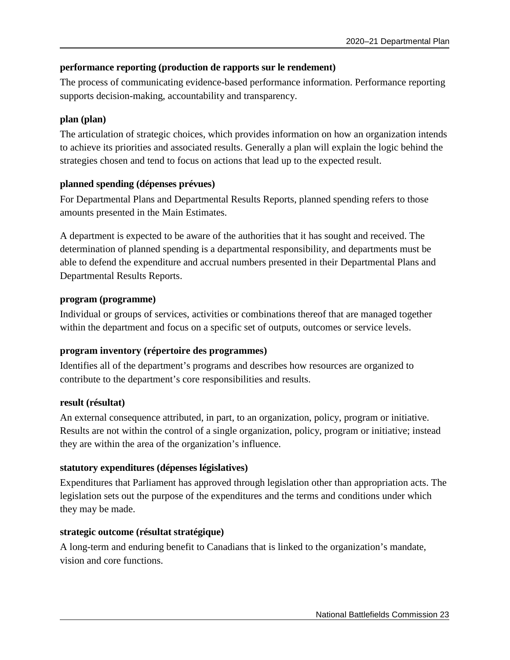### **performance reporting (production de rapports sur le rendement)**

The process of communicating evidence-based performance information. Performance reporting supports decision-making, accountability and transparency.

### **plan (plan)**

The articulation of strategic choices, which provides information on how an organization intends to achieve its priorities and associated results. Generally a plan will explain the logic behind the strategies chosen and tend to focus on actions that lead up to the expected result.

### **planned spending (dépenses prévues)**

For Departmental Plans and Departmental Results Reports, planned spending refers to those amounts presented in the Main Estimates.

A department is expected to be aware of the authorities that it has sought and received. The determination of planned spending is a departmental responsibility, and departments must be able to defend the expenditure and accrual numbers presented in their Departmental Plans and Departmental Results Reports.

### **program (programme)**

Individual or groups of services, activities or combinations thereof that are managed together within the department and focus on a specific set of outputs, outcomes or service levels.

# **program inventory (répertoire des programmes)**

Identifies all of the department's programs and describes how resources are organized to contribute to the department's core responsibilities and results.

### **result (résultat)**

An external consequence attributed, in part, to an organization, policy, program or initiative. Results are not within the control of a single organization, policy, program or initiative; instead they are within the area of the organization's influence.

# **statutory expenditures (dépenses législatives)**

Expenditures that Parliament has approved through legislation other than appropriation acts. The legislation sets out the purpose of the expenditures and the terms and conditions under which they may be made.

# **strategic outcome (résultat stratégique)**

A long-term and enduring benefit to Canadians that is linked to the organization's mandate, vision and core functions.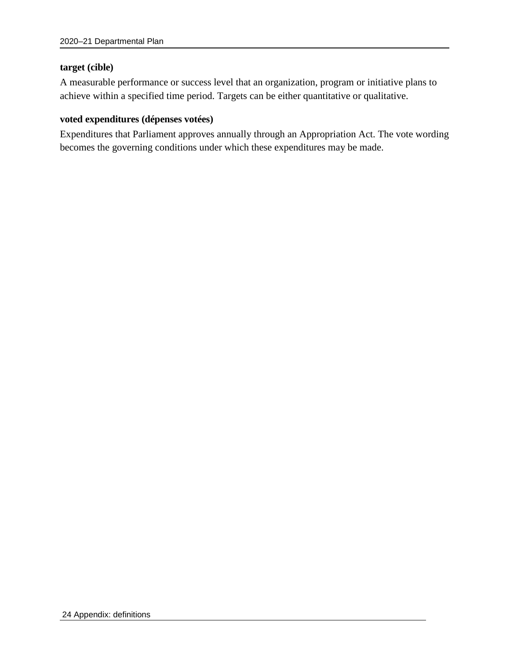#### **target (cible)**

A measurable performance or success level that an organization, program or initiative plans to achieve within a specified time period. Targets can be either quantitative or qualitative.

#### **voted expenditures (dépenses votées)**

Expenditures that Parliament approves annually through an Appropriation Act. The vote wording becomes the governing conditions under which these expenditures may be made.